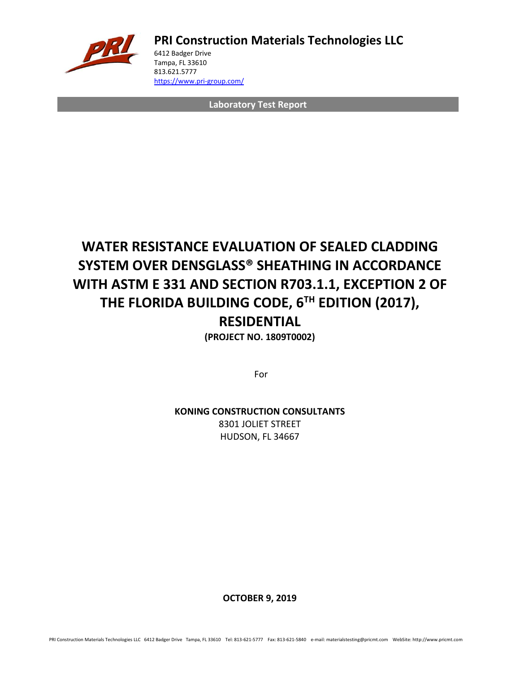

**PRI Construction Materials Technologies LLC**

6412 Badger Drive Tampa, FL 33610 813.621.5777 <https://www.pri-group.com/>

**Laboratory Test Report**

## **WATER RESISTANCE EVALUATION OF SEALED CLADDING SYSTEM OVER DENSGLASS® SHEATHING IN ACCORDANCE WITH ASTM E 331 AND SECTION R703.1.1, EXCEPTION 2 OF THE FLORIDA BUILDING CODE, 6TH EDITION (2017),**

### **RESIDENTIAL**

**(PROJECT NO. 1809T0002)**

For

**KONING CONSTRUCTION CONSULTANTS** 8301 JOLIET STREET HUDSON, FL 34667

**OCTOBER 9, 2019**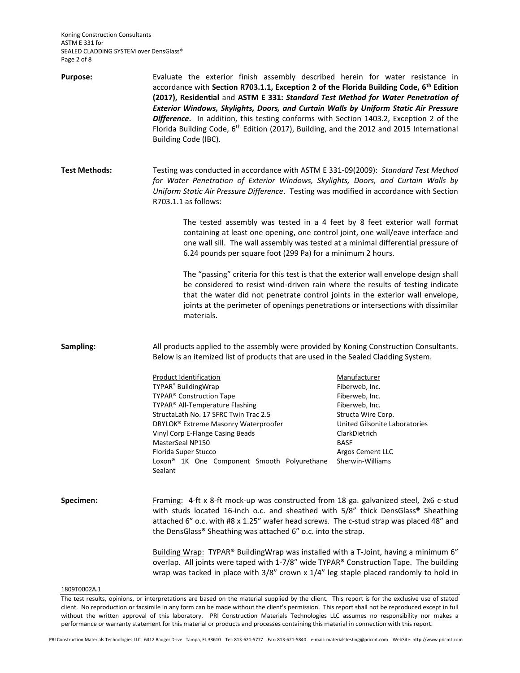Koning Construction Consultants ASTM E 331 for SEALED CLADDING SYSTEM over DensGlass® Page 2 of 8

| <b>Purpose:</b>      | Evaluate the exterior finish assembly described herein for water resistance in<br>accordance with Section R703.1.1, Exception 2 of the Florida Building Code, 6 <sup>th</sup> Edition<br>(2017), Residential and ASTM E 331: Standard Test Method for Water Penetration of<br>Exterior Windows, Skylights, Doors, and Curtain Walls by Uniform Static Air Pressure<br>Difference. In addition, this testing conforms with Section 1403.2, Exception 2 of the<br>Florida Building Code, 6 <sup>th</sup> Edition (2017), Building, and the 2012 and 2015 International<br>Building Code (IBC). |                                                                                                                                                                                                   |  |  |
|----------------------|----------------------------------------------------------------------------------------------------------------------------------------------------------------------------------------------------------------------------------------------------------------------------------------------------------------------------------------------------------------------------------------------------------------------------------------------------------------------------------------------------------------------------------------------------------------------------------------------|---------------------------------------------------------------------------------------------------------------------------------------------------------------------------------------------------|--|--|
| <b>Test Methods:</b> | Testing was conducted in accordance with ASTM E 331-09(2009): Standard Test Method<br>for Water Penetration of Exterior Windows, Skylights, Doors, and Curtain Walls by<br>Uniform Static Air Pressure Difference. Testing was modified in accordance with Section<br>R703.1.1 as follows:                                                                                                                                                                                                                                                                                                   |                                                                                                                                                                                                   |  |  |
|                      | The tested assembly was tested in a 4 feet by 8 feet exterior wall format<br>containing at least one opening, one control joint, one wall/eave interface and<br>one wall sill. The wall assembly was tested at a minimal differential pressure of<br>6.24 pounds per square foot (299 Pa) for a minimum 2 hours.                                                                                                                                                                                                                                                                             |                                                                                                                                                                                                   |  |  |
|                      | The "passing" criteria for this test is that the exterior wall envelope design shall<br>be considered to resist wind-driven rain where the results of testing indicate<br>that the water did not penetrate control joints in the exterior wall envelope,<br>joints at the perimeter of openings penetrations or intersections with dissimilar<br>materials.                                                                                                                                                                                                                                  |                                                                                                                                                                                                   |  |  |
| Sampling:            | All products applied to the assembly were provided by Koning Construction Consultants.<br>Below is an itemized list of products that are used in the Sealed Cladding System.                                                                                                                                                                                                                                                                                                                                                                                                                 |                                                                                                                                                                                                   |  |  |
|                      | <b>Product Identification</b><br>TYPAR <sup>®</sup> BuildingWrap<br>TYPAR® Construction Tape<br>TYPAR® All-Temperature Flashing<br>StructaLath No. 17 SFRC Twin Trac 2.5<br>DRYLOK® Extreme Masonry Waterproofer<br>Vinyl Corp E-Flange Casing Beads<br>MasterSeal NP150<br>Florida Super Stucco<br>Loxon <sup>®</sup> 1K One Component Smooth Polyurethane<br>Sealant                                                                                                                                                                                                                       | Manufacturer<br>Fiberweb, Inc.<br>Fiberweb, Inc.<br>Fiberweb, Inc.<br>Structa Wire Corp.<br>United Gilsonite Laboratories<br>ClarkDietrich<br><b>BASF</b><br>Argos Cement LLC<br>Sherwin-Williams |  |  |
| Specimen:            | Framing: 4-ft x 8-ft mock-up was constructed from 18 ga. galvanized steel, 2x6 c-stud<br>with studs located 16-inch o.c. and sheathed with 5/8" thick DensGlass® Sheathing<br>attached 6" o.c. with #8 x 1.25" wafer head screws. The c-stud strap was placed 48" and<br>the DensGlass® Sheathing was attached 6" o.c. into the strap.                                                                                                                                                                                                                                                       |                                                                                                                                                                                                   |  |  |
|                      | Building Wrap: TYPAR® BuildingWrap was installed with a T-Joint, having a minimum 6"<br>overlap. All joints were taped with 1-7/8" wide TYPAR® Construction Tape. The building<br>wrap was tacked in place with 3/8" crown x 1/4" leg staple placed randomly to hold in                                                                                                                                                                                                                                                                                                                      |                                                                                                                                                                                                   |  |  |
| 1809T0002A.1         | or interpretations are based on the material supplied by the client. This report is for the evolutive use of state                                                                                                                                                                                                                                                                                                                                                                                                                                                                           |                                                                                                                                                                                                   |  |  |

The test results, opinions, or interpretations are based on the material supplied by the client. This report is for the exclusive use of stated client. No reproduction or facsimile in any form can be made without the client's permission. This report shall not be reproduced except in full without the written approval of this laboratory. PRI Construction Materials Technologies LLC assumes no responsibility nor makes a performance or warranty statement for this material or products and processes containing this material in connection with this report.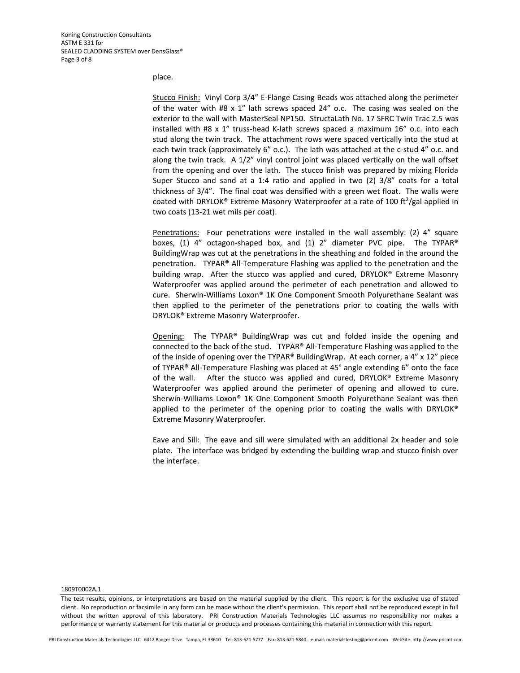#### place.

Stucco Finish: Vinyl Corp 3/4" E-Flange Casing Beads was attached along the perimeter of the water with #8 x 1" lath screws spaced 24" o.c. The casing was sealed on the exterior to the wall with MasterSeal NP150. StructaLath No. 17 SFRC Twin Trac 2.5 was installed with #8 x 1" truss-head K-lath screws spaced a maximum 16" o.c. into each stud along the twin track. The attachment rows were spaced vertically into the stud at each twin track (approximately 6" o.c.). The lath was attached at the c-stud 4" o.c. and along the twin track. A  $1/2$ " vinyl control joint was placed vertically on the wall offset from the opening and over the lath. The stucco finish was prepared by mixing Florida Super Stucco and sand at a 1:4 ratio and applied in two (2) 3/8" coats for a total thickness of 3/4". The final coat was densified with a green wet float. The walls were coated with DRYLOK® Extreme Masonry Waterproofer at a rate of 100 ft<sup>2</sup>/gal applied in two coats (13-21 wet mils per coat).

Penetrations: Four penetrations were installed in the wall assembly: (2) 4" square boxes, (1) 4" octagon-shaped box, and (1) 2" diameter PVC pipe. The TYPAR® BuildingWrap was cut at the penetrations in the sheathing and folded in the around the penetration. TYPAR® All-Temperature Flashing was applied to the penetration and the building wrap. After the stucco was applied and cured, DRYLOK® Extreme Masonry Waterproofer was applied around the perimeter of each penetration and allowed to cure. Sherwin-Williams Loxon® 1K One Component Smooth Polyurethane Sealant was then applied to the perimeter of the penetrations prior to coating the walls with DRYLOK® Extreme Masonry Waterproofer.

Opening: The TYPAR® BuildingWrap was cut and folded inside the opening and connected to the back of the stud. TYPAR® All-Temperature Flashing was applied to the of the inside of opening over the TYPAR® BuildingWrap. At each corner, a 4" x 12" piece of TYPAR® All-Temperature Flashing was placed at 45° angle extending 6" onto the face of the wall. After the stucco was applied and cured, DRYLOK® Extreme Masonry Waterproofer was applied around the perimeter of opening and allowed to cure. Sherwin-Williams Loxon® 1K One Component Smooth Polyurethane Sealant was then applied to the perimeter of the opening prior to coating the walls with DRYLOK® Extreme Masonry Waterproofer.

Eave and Sill: The eave and sill were simulated with an additional 2x header and sole plate. The interface was bridged by extending the building wrap and stucco finish over the interface.

#### 1809T0002A.1

The test results, opinions, or interpretations are based on the material supplied by the client. This report is for the exclusive use of stated client. No reproduction or facsimile in any form can be made without the client's permission. This report shall not be reproduced except in full without the written approval of this laboratory. PRI Construction Materials Technologies LLC assumes no responsibility nor makes a performance or warranty statement for this material or products and processes containing this material in connection with this report.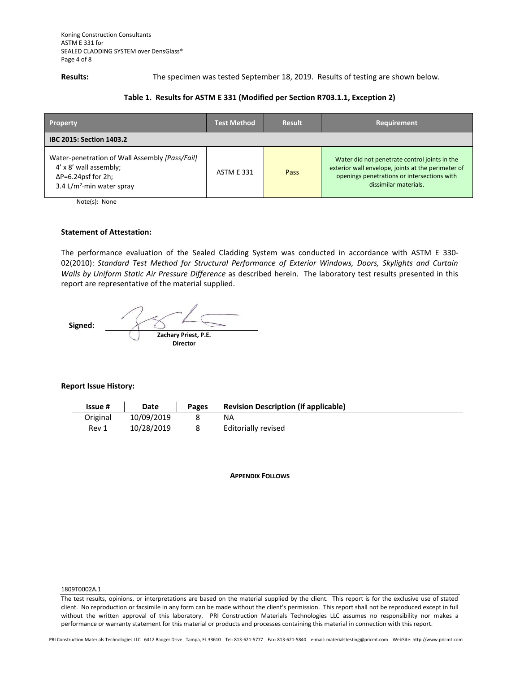**Results:** The specimen was tested September 18, 2019. Results of testing are shown below.

### **Table 1. Results for ASTM E 331 (Modified per Section R703.1.1, Exception 2)**

| <b>Property</b>                                                                                                                                           | <b>Test Method</b> | <b>Result</b> | Requirement                                                                                                                                                                 |  |  |
|-----------------------------------------------------------------------------------------------------------------------------------------------------------|--------------------|---------------|-----------------------------------------------------------------------------------------------------------------------------------------------------------------------------|--|--|
| <b>IBC 2015: Section 1403.2</b>                                                                                                                           |                    |               |                                                                                                                                                                             |  |  |
| Water-penetration of Wall Assembly [Pass/Fail]<br>4' x 8' wall assembly;<br>$\Delta P = 6.24$ psf for 2h;<br>3.4 L/m <sup>2</sup> $\cdot$ min water spray | <b>ASTM E 331</b>  | Pass          | Water did not penetrate control joints in the<br>exterior wall envelope, joints at the perimeter of<br>openings penetrations or intersections with<br>dissimilar materials. |  |  |

Note(s): None

#### **Statement of Attestation:**

The performance evaluation of the Sealed Cladding System was conducted in accordance with ASTM E 330- 02(2010): *Standard Test Method for Structural Performance of Exterior Windows, Doors, Skylights and Curtain Walls by Uniform Static Air Pressure Difference* as described herein.The laboratory test results presented in this report are representative of the material supplied.

 **Signed: Zachary Priest, P.E. Director**

#### **Report Issue History:**

| <b>Issue #</b> | Date       | <b>Pages</b> | <b>Revision Description (if applicable)</b> |
|----------------|------------|--------------|---------------------------------------------|
| Original       | 10/09/2019 |              | ΝA                                          |
| Rev 1          | 10/28/2019 |              | Editorially revised                         |

**APPENDIX FOLLOWS**

#### 1809T0002A.1

The test results, opinions, or interpretations are based on the material supplied by the client. This report is for the exclusive use of stated client. No reproduction or facsimile in any form can be made without the client's permission. This report shall not be reproduced except in full without the written approval of this laboratory. PRI Construction Materials Technologies LLC assumes no responsibility nor makes a performance or warranty statement for this material or products and processes containing this material in connection with this report.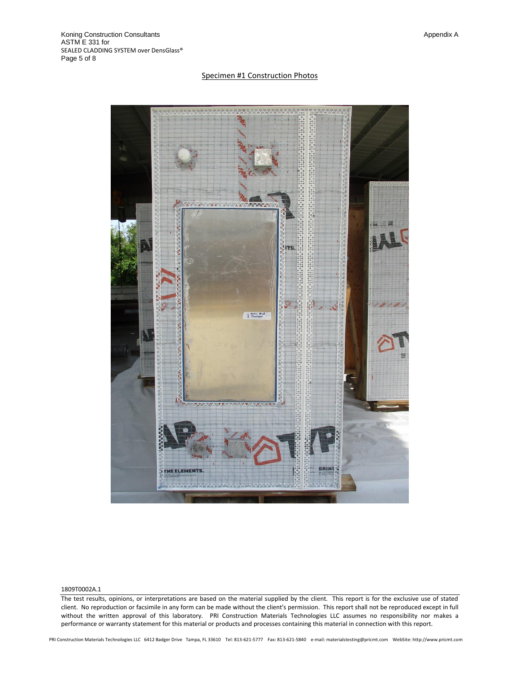#### Specimen #1 Construction Photos



#### 1809T0002A.1

The test results, opinions, or interpretations are based on the material supplied by the client. This report is for the exclusive use of stated client. No reproduction or facsimile in any form can be made without the client's permission. This report shall not be reproduced except in full without the written approval of this laboratory. PRI Construction Materials Technologies LLC assumes no responsibility nor makes a performance or warranty statement for this material or products and processes containing this material in connection with this report.

PRI Construction Materials Technologies LLC 6412 Badger Drive Tampa, FL 33610 Tel: 813-621-5777 Fax: 813-621-5840 e-mail: materialstesting@pricmt.com WebSite: http://www.pricmt.com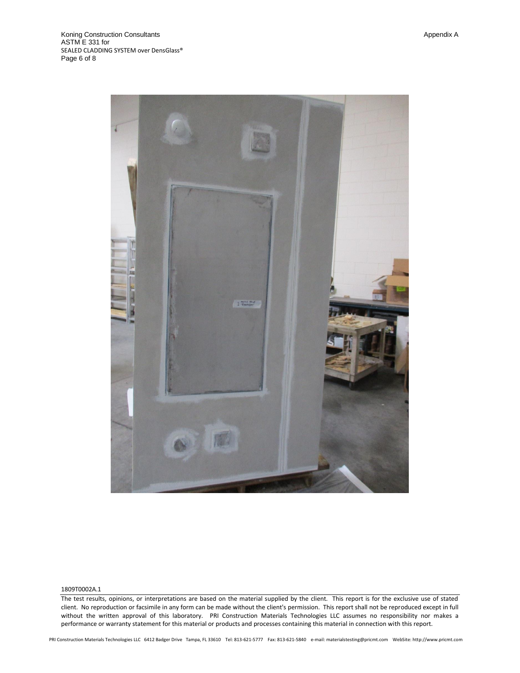



#### 1809T0002A.1

The test results, opinions, or interpretations are based on the material supplied by the client. This report is for the exclusive use of stated client. No reproduction or facsimile in any form can be made without the client's permission. This report shall not be reproduced except in full without the written approval of this laboratory. PRI Construction Materials Technologies LLC assumes no responsibility nor makes a performance or warranty statement for this material or products and processes containing this material in connection with this report.

PRI Construction Materials Technologies LLC 6412 Badger Drive Tampa, FL 33610 Tel: 813-621-5777 Fax: 813-621-5840 e-mail: materialstesting@pricmt.com WebSite: http://www.pricmt.com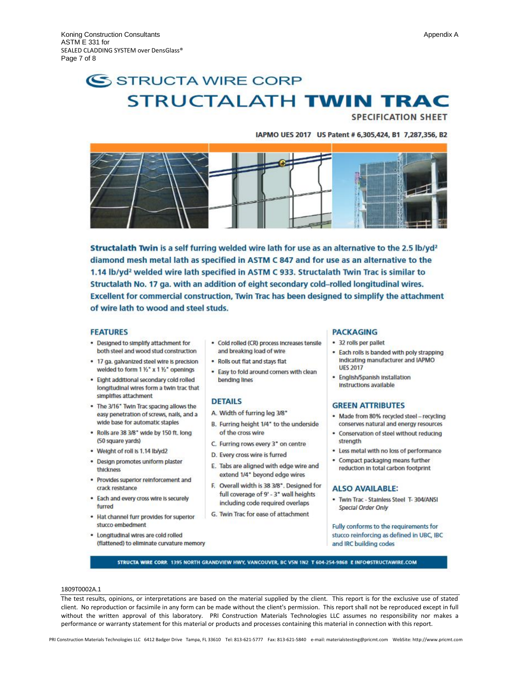# SSTRUCTA WIRE CORP **STRUCTALATH TWIN TRAC**

**SPECIFICATION SHEET** 

#### IAPMO UES 2017 US Patent # 6,305,424, B1 7,287,356, B2



Structalath Twin is a self furring welded wire lath for use as an alternative to the 2.5 lb/yd<sup>2</sup> diamond mesh metal lath as specified in ASTM C 847 and for use as an alternative to the 1.14 lb/yd<sup>2</sup> welded wire lath specified in ASTM C 933. Structalath Twin Trac is similar to Structalath No. 17 ga. with an addition of eight secondary cold-rolled longitudinal wires. Excellent for commercial construction, Twin Trac has been designed to simplify the attachment of wire lath to wood and steel studs.

#### **FEATURES**

- . Designed to simplify attachment for both steel and wood stud construction
- . 17 ga. galvanized steel wire is precision welded to form 1 1/2" x 1 1/2" openings
- . Eight additional secondary cold rolled longitudinal wires form a twin trac that simplifies attachment
- . The 3/16" Twin Trac spacing allows the easy penetration of screws, nails, and a wide base for automatic staples
- . Rolls are 38 3/8" wide by 150 ft. long (50 square yards)
- Weight of roll is 1.14 lb/yd2
- · Design promotes uniform plaster thickness
- · Provides superior reinforcement and crack resistance
- . Each and every cross wire is securely furred
- . Hat channel furr provides for superior stucco embedment
- · Longitudinal wires are cold rolled (flattened) to eliminate curvature memory
- · Cold rolled (CR) process Increases tensile and breaking load of wire
- . Rolls out flat and stays flat
- . Easy to fold around corners with clean bending lines

#### **DETAILS**

- A. Width of furring leg 3/8"
- B. Furring height 1/4" to the underside of the cross wire
- C. Furring rows every 3" on centre
- D. Every cross wire is furred
- E. Tabs are aligned with edge wire and extend 1/4" beyond edge wires
- F. Overall width is 38 3/8". Designed for full coverage of 9' - 3" wall heights including code required overlaps
- G. Twin Trac for ease of attachment

#### **PACKAGING**

- · 32 rolls per pallet
- . Each rolls is banded with poly strapping Indicating manufacturer and IAPMO **UES 2017**
- · English/Spanish Installation Instructions available

#### **GREEN ATTRIBUTES**

- · Made from 80% recycled steel recycling conserves natural and energy resources
- Conservation of steel without reducing strength
- . Less metal with no loss of performance
- . Compact packaging means further reduction in total carbon footprint

#### **ALSO AVAILABLE:**

· Twin Trac - Stainless Steel T- 304/ANSI **Special Order Only** 

Fully conforms to the requirements for stucco reinforcing as defined in UBC, IBC and IRC building codes

STRUCTA WIRE CORP. 1395 NORTH GRANDVIEW HWY, VANCOUVER, BC V5N 1N2 T 604-254-9868 E INFOOSTRUCTAWIRE.COM

#### 1809T0002A.1

The test results, opinions, or interpretations are based on the material supplied by the client. This report is for the exclusive use of stated client. No reproduction or facsimile in any form can be made without the client's permission. This report shall not be reproduced except in full without the written approval of this laboratory. PRI Construction Materials Technologies LLC assumes no responsibility nor makes a performance or warranty statement for this material or products and processes containing this material in connection with this report.